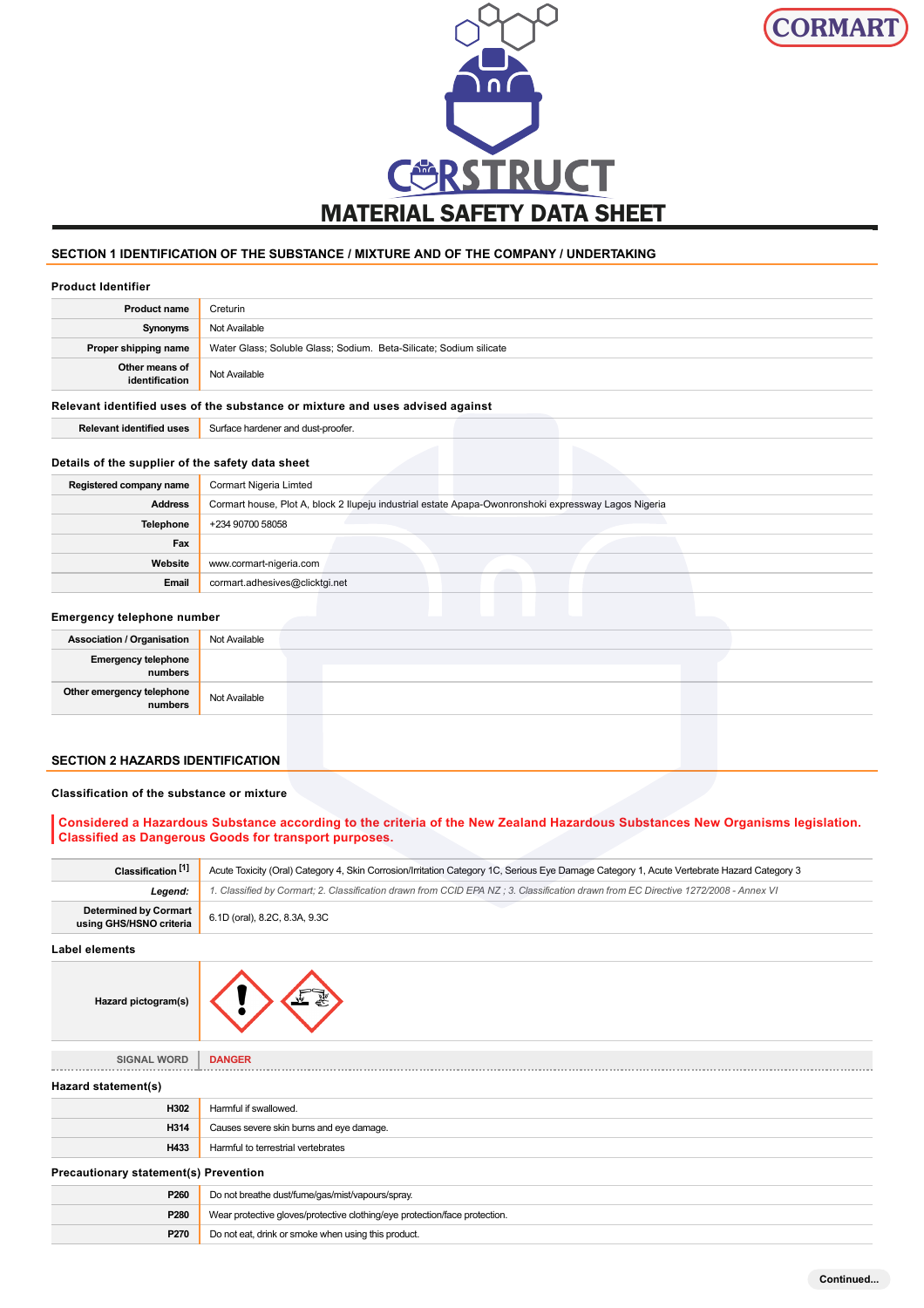



# **SECTION 1 IDENTIFICATION OF THE SUBSTANCE / MIXTURE AND OF THE COMPANY / UNDERTAKING**

### **Product Identifier**

| <b>Product name</b>                                                           | Creturin                                                           |  |  |
|-------------------------------------------------------------------------------|--------------------------------------------------------------------|--|--|
| Synonyms                                                                      | Not Available                                                      |  |  |
| Proper shipping name                                                          | Water Glass; Soluble Glass; Sodium. Beta-Silicate; Sodium silicate |  |  |
| Other means of<br>identification                                              | Not Available                                                      |  |  |
| Relevant identified uses of the substance or mixture and uses advised against |                                                                    |  |  |
| <b>Relevant identified uses</b>                                               | Surface hardener and dust-proofer.                                 |  |  |

### **Details of the supplier of the safety data sheet**

| Registered company name | Cormart Nigeria Limted                                                                               |
|-------------------------|------------------------------------------------------------------------------------------------------|
| <b>Address</b>          | Cormart house, Plot A, block 2 Ilupeju industrial estate Apapa-Owonronshoki expressway Lagos Nigeria |
| Telephone               | +234 90700 58058                                                                                     |
| Fax                     |                                                                                                      |
| Website                 | www.cormart-nigeria.com                                                                              |
| Email                   | cormart.adhesives@clicktgi.net                                                                       |

### **Emergency telephone number**

| <b>Association / Organisation</b>     | Not Available |  |
|---------------------------------------|---------------|--|
| <b>Emergency telephone</b><br>numbers |               |  |
| Other emergency telephone<br>numbers  | Not Available |  |
|                                       |               |  |

# **SECTION 2 HAZARDS IDENTIFICATION**

### **Classification of the substance or mixture**

# **Considered a Hazardous Substance according to the criteria of the New Zealand Hazardous Substances New Organisms legislation. Classified as Dangerous Goods for transport purposes.**

| Classification <sup>[1]</sup>                    | Acute Toxicity (Oral) Category 4, Skin Corrosion/Irritation Category 1C, Serious Eye Damage Category 1, Acute Vertebrate Hazard Category 3 |
|--------------------------------------------------|--------------------------------------------------------------------------------------------------------------------------------------------|
| Leaend:                                          | 1. Classified by Cormart; 2. Classification drawn from CCID EPA NZ ; 3. Classification drawn from EC Directive 1272/2008 - Annex VI        |
| Determined by Cormart<br>using GHS/HSNO criteria | 6.1D (oral), 8.2C, 8.3A, 9.3C                                                                                                              |

### **Label elements**

| Hazard pictogram(s) |  |
|---------------------|--|
|---------------------|--|

# **SIGNAL WORD DANGER**

| Hazard statement(s)                          |                                          |  |  |  |
|----------------------------------------------|------------------------------------------|--|--|--|
| H302                                         | Harmful if swallowed.                    |  |  |  |
| H314                                         | Causes severe skin burns and eye damage. |  |  |  |
| H433                                         | Harmful to terrestrial vertebrates       |  |  |  |
| <b>Precautionary statement(s) Prevention</b> |                                          |  |  |  |

| P260 | Do not breathe dust/fume/gas/mist/vapours/spray.                           |
|------|----------------------------------------------------------------------------|
| P280 | Wear protective gloves/protective clothing/eye protection/face protection. |
| P270 | Do not eat, drink or smoke when using this product.                        |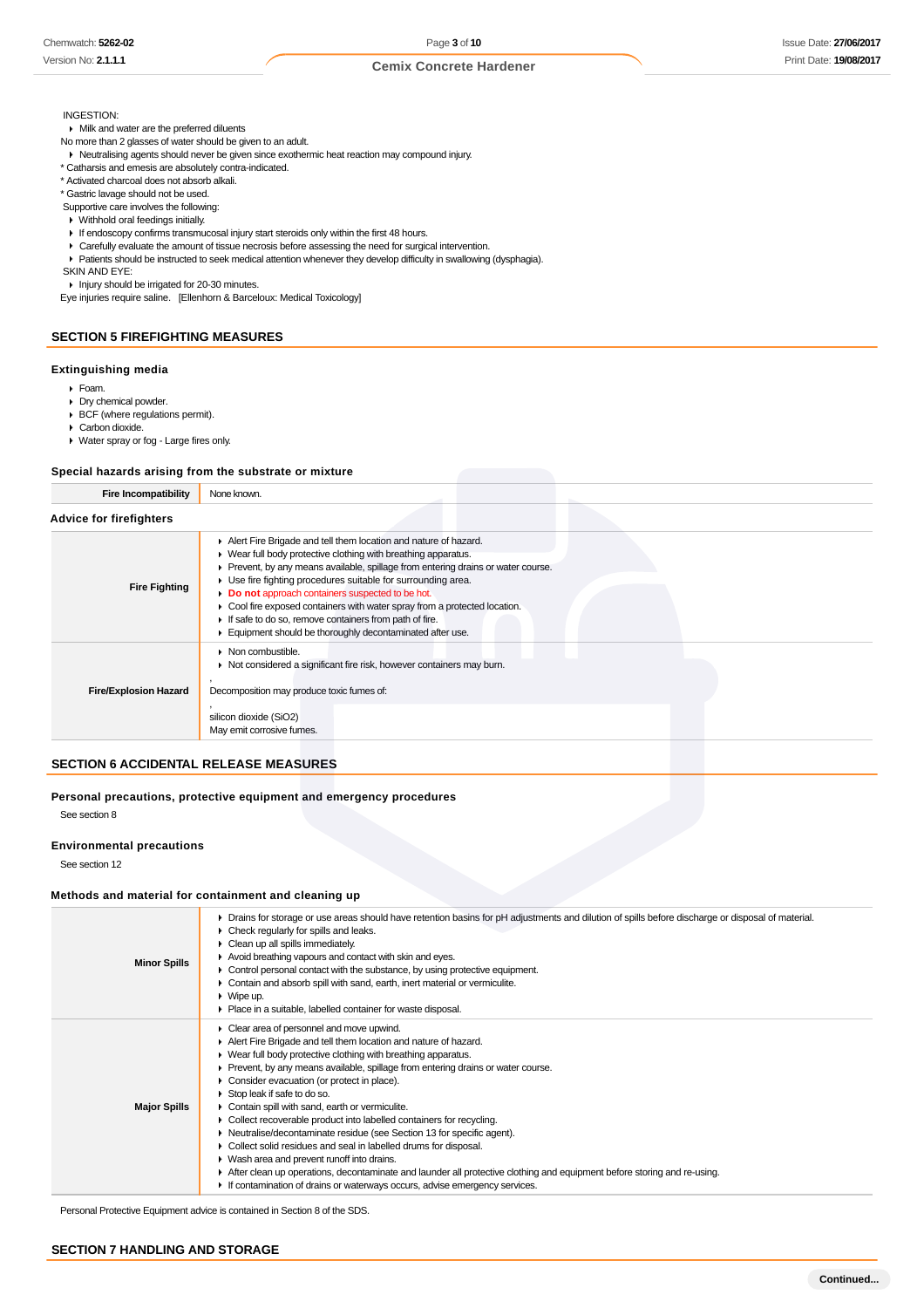#### INGESTION:

Milk and water are the preferred diluents

- No more than 2 glasses of water should be given to an adult.
- Neutralising agents should never be given since exothermic heat reaction may compound injury.
- \* Catharsis and emesis are absolutely contra-indicated.
- \* Activated charcoal does not absorb alkali.
- \* Gastric lavage should not be used.
- Supportive care involves the following:
- Withhold oral feedings initially.
- If endoscopy confirms transmucosal injury start steroids only within the first 48 hours.
- Carefully evaluate the amount of tissue necrosis before assessing the need for surgical intervention.
- Patients should be instructed to seek medical attention whenever they develop difficulty in swallowing (dysphagia).

SKIN AND EYE:

Injury should be irrigated for 20-30 minutes.

Eye injuries require saline. [Ellenhorn & Barceloux: Medical Toxicology]

### **SECTION 5 FIREFIGHTING MEASURES**

#### **Extinguishing media**

- Foam.
- **Dry chemical powder.**
- BCF (where regulations permit).
- Carbon dioxide.
- Water spray or fog Large fires only.

#### **Special hazards arising from the substrate or mixture**

| <b>Fire Incompatibility</b>    | None known.                                                                                                                                                                                                                                                                                                                                                                                                                                                                                                                                  |  |
|--------------------------------|----------------------------------------------------------------------------------------------------------------------------------------------------------------------------------------------------------------------------------------------------------------------------------------------------------------------------------------------------------------------------------------------------------------------------------------------------------------------------------------------------------------------------------------------|--|
| <b>Advice for firefighters</b> |                                                                                                                                                                                                                                                                                                                                                                                                                                                                                                                                              |  |
| <b>Fire Fighting</b>           | Alert Fire Brigade and tell them location and nature of hazard.<br>• Wear full body protective clothing with breathing apparatus.<br>Prevent, by any means available, spillage from entering drains or water course.<br>▶ Use fire fighting procedures suitable for surrounding area.<br>Do not approach containers suspected to be hot.<br>• Cool fire exposed containers with water spray from a protected location.<br>If safe to do so, remove containers from path of fire.<br>Equipment should be thoroughly decontaminated after use. |  |
| <b>Fire/Explosion Hazard</b>   | $\triangleright$ Non combustible.<br>Not considered a significant fire risk, however containers may burn.<br>Decomposition may produce toxic fumes of:<br>silicon dioxide (SiO2)<br>May emit corrosive fumes.                                                                                                                                                                                                                                                                                                                                |  |

## **SECTION 6 ACCIDENTAL RELEASE MEASURES**

# **Personal precautions, protective equipment and emergency procedures**

See section 8

### **Environmental precautions**

See section 12

### **Methods and material for containment and cleaning up**

| <b>Minor Spills</b> | > Drains for storage or use areas should have retention basins for pH adjustments and dilution of spills before discharge or disposal of material.<br>$\triangleright$ Check regularly for spills and leaks.<br>• Clean up all spills immediately.<br>Avoid breathing vapours and contact with skin and eyes.<br>• Control personal contact with the substance, by using protective equipment.<br>• Contain and absorb spill with sand, earth, inert material or vermiculite.<br>$\triangleright$ Wipe up.<br>• Place in a suitable, labelled container for waste disposal.                                                                                                                                                                                                                                                                                                                              |
|---------------------|----------------------------------------------------------------------------------------------------------------------------------------------------------------------------------------------------------------------------------------------------------------------------------------------------------------------------------------------------------------------------------------------------------------------------------------------------------------------------------------------------------------------------------------------------------------------------------------------------------------------------------------------------------------------------------------------------------------------------------------------------------------------------------------------------------------------------------------------------------------------------------------------------------|
| <b>Major Spills</b> | Clear area of personnel and move upwind.<br>Alert Fire Brigade and tell them location and nature of hazard.<br>$\blacktriangleright$ Wear full body protective clothing with breathing apparatus.<br>► Prevent, by any means available, spillage from entering drains or water course.<br>• Consider evacuation (or protect in place).<br>Stop leak if safe to do so.<br>Contain spill with sand, earth or vermiculite.<br>• Collect recoverable product into labelled containers for recycling.<br>• Neutralise/decontaminate residue (see Section 13 for specific agent).<br>• Collect solid residues and seal in labelled drums for disposal.<br>• Wash area and prevent runoff into drains.<br>After clean up operations, decontaminate and launder all protective clothing and equipment before storing and re-using.<br>If contamination of drains or waterways occurs, advise emergency services. |

Personal Protective Equipment advice is contained in Section 8 of the SDS.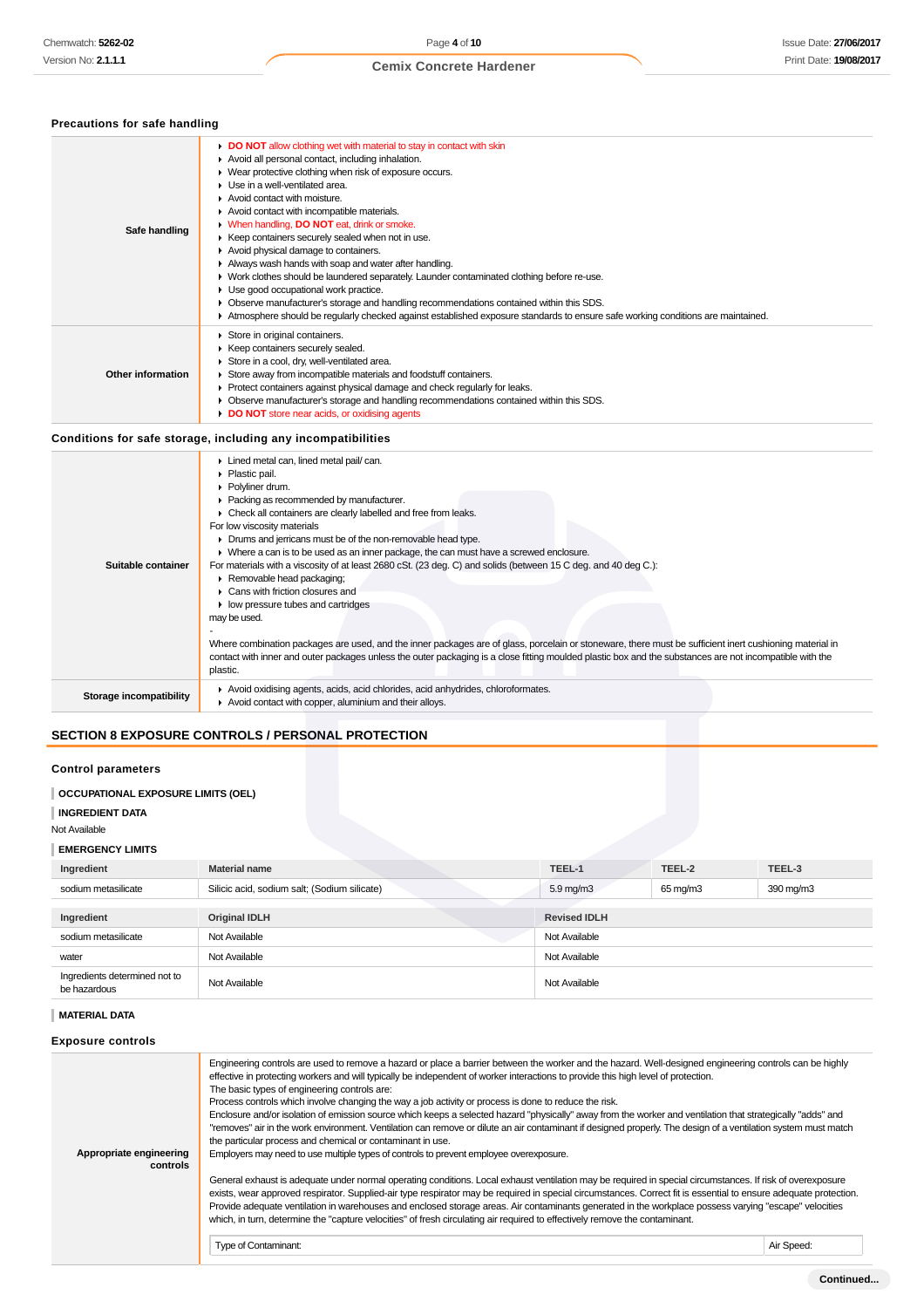### **Precautions for safe handling**

| Safe handling     | DO NOT allow clothing wet with material to stay in contact with skin<br>Avoid all personal contact, including inhalation.<br>• Wear protective clothing when risk of exposure occurs.<br>Use in a well-ventilated area.<br>Avoid contact with moisture.<br>Avoid contact with incompatible materials.<br>• When handling, DO NOT eat, drink or smoke.<br>▶ Keep containers securely sealed when not in use.<br>Avoid physical damage to containers.<br>Always wash hands with soap and water after handling.<br>• Work clothes should be laundered separately. Launder contaminated clothing before re-use.<br>Use good occupational work practice.<br>• Observe manufacturer's storage and handling recommendations contained within this SDS.<br>Atmosphere should be regularly checked against established exposure standards to ensure safe working conditions are maintained. |
|-------------------|------------------------------------------------------------------------------------------------------------------------------------------------------------------------------------------------------------------------------------------------------------------------------------------------------------------------------------------------------------------------------------------------------------------------------------------------------------------------------------------------------------------------------------------------------------------------------------------------------------------------------------------------------------------------------------------------------------------------------------------------------------------------------------------------------------------------------------------------------------------------------------|
| Other information | Store in original containers.<br>▶ Keep containers securely sealed.<br>Store in a cool, dry, well-ventilated area.<br>Store away from incompatible materials and foodstuff containers.<br>▶ Protect containers against physical damage and check regularly for leaks.<br>• Observe manufacturer's storage and handling recommendations contained within this SDS.<br>DO NOT store near acids, or oxidising agents                                                                                                                                                                                                                                                                                                                                                                                                                                                                  |

# **Conditions for safe storage, including any incompatibilities**

| Lined metal can, lined metal pail/can.<br>• Plastic pail.<br>▶ Polvliner drum.<br>• Packing as recommended by manufacturer.<br>Check all containers are clearly labelled and free from leaks.<br>For low viscosity materials<br>• Drums and jerricans must be of the non-removable head type.<br>• Where a can is to be used as an inner package, the can must have a screwed enclosure.<br>For materials with a viscosity of at least 2680 cSt. (23 deg. C) and solids (between 15 C deg. and 40 deg C.):<br>Suitable container<br>Removable head packaging;<br>$\blacktriangleright$ Cans with friction closures and<br>• low pressure tubes and cartridges<br>may be used.<br>Where combination packages are used, and the inner packages are of glass, porcelain or stoneware, there must be sufficient inert cushioning material in<br>contact with inner and outer packages unless the outer packaging is a close fitting moulded plastic box and the substances are not incompatible with the |          |
|------------------------------------------------------------------------------------------------------------------------------------------------------------------------------------------------------------------------------------------------------------------------------------------------------------------------------------------------------------------------------------------------------------------------------------------------------------------------------------------------------------------------------------------------------------------------------------------------------------------------------------------------------------------------------------------------------------------------------------------------------------------------------------------------------------------------------------------------------------------------------------------------------------------------------------------------------------------------------------------------------|----------|
|                                                                                                                                                                                                                                                                                                                                                                                                                                                                                                                                                                                                                                                                                                                                                                                                                                                                                                                                                                                                      | plastic. |
| Avoid oxidising agents, acids, acid chlorides, acid anhydrides, chloroformates.<br>Storage incompatibility<br>Avoid contact with copper, aluminium and their alloys.                                                                                                                                                                                                                                                                                                                                                                                                                                                                                                                                                                                                                                                                                                                                                                                                                                 |          |

# **SECTION 8 EXPOSURE CONTROLS / PERSONAL PROTECTION**

# **Control parameters**

### **OCCUPATIONAL EXPOSURE LIMITS (OEL)**

**INGREDIENT DATA**

### Not Available

### **EMERGENCY LIMITS**

| Ingredient                                    | <b>Material name</b>                         | TEEL-1                                         | TEEL-2 | TEEL-3 |
|-----------------------------------------------|----------------------------------------------|------------------------------------------------|--------|--------|
| sodium metasilicate                           | Silicic acid, sodium salt; (Sodium silicate) | $5.9 \,\mathrm{mg/m}$<br>390 mg/m3<br>65 mg/m3 |        |        |
|                                               |                                              |                                                |        |        |
| Ingredient                                    | <b>Original IDLH</b>                         | <b>Revised IDLH</b>                            |        |        |
| sodium metasilicate                           | Not Available                                | Not Available                                  |        |        |
| water                                         | Not Available                                | Not Available                                  |        |        |
| Ingredients determined not to<br>be hazardous | Not Available                                | Not Available                                  |        |        |

# **MATERIAL DATA**

# **Exposure controls**

| Appropriate engineering<br>controls | Engineering controls are used to remove a hazard or place a barrier between the worker and the hazard. Well-designed engineering controls can be highly<br>effective in protecting workers and will typically be independent of worker interactions to provide this high level of protection.<br>The basic types of engineering controls are:<br>Process controls which involve changing the way a job activity or process is done to reduce the risk.<br>Enclosure and/or isolation of emission source which keeps a selected hazard "physically" away from the worker and ventilation that strategically "adds" and<br>"removes" air in the work environment. Ventilation can remove or dilute an air contaminant if designed properly. The design of a ventilation system must match<br>the particular process and chemical or contaminant in use.<br>Employers may need to use multiple types of controls to prevent employee overexposure.<br>General exhaust is adequate under normal operating conditions. Local exhaust ventilation may be required in special circumstances. If risk of overexposure<br>exists, wear approved respirator. Supplied-air type respirator may be required in special circumstances. Correct fit is essential to ensure adequate protection.<br>Provide adequate ventilation in warehouses and enclosed storage areas. Air contaminants generated in the workplace possess varying "escape" velocities<br>which, in turn, determine the "capture velocities" of fresh circulating air required to effectively remove the contaminant. |            |
|-------------------------------------|----------------------------------------------------------------------------------------------------------------------------------------------------------------------------------------------------------------------------------------------------------------------------------------------------------------------------------------------------------------------------------------------------------------------------------------------------------------------------------------------------------------------------------------------------------------------------------------------------------------------------------------------------------------------------------------------------------------------------------------------------------------------------------------------------------------------------------------------------------------------------------------------------------------------------------------------------------------------------------------------------------------------------------------------------------------------------------------------------------------------------------------------------------------------------------------------------------------------------------------------------------------------------------------------------------------------------------------------------------------------------------------------------------------------------------------------------------------------------------------------------------------------------------------------------------------------------|------------|
|                                     | Type of Contaminant:                                                                                                                                                                                                                                                                                                                                                                                                                                                                                                                                                                                                                                                                                                                                                                                                                                                                                                                                                                                                                                                                                                                                                                                                                                                                                                                                                                                                                                                                                                                                                       | Air Speed: |
|                                     |                                                                                                                                                                                                                                                                                                                                                                                                                                                                                                                                                                                                                                                                                                                                                                                                                                                                                                                                                                                                                                                                                                                                                                                                                                                                                                                                                                                                                                                                                                                                                                            |            |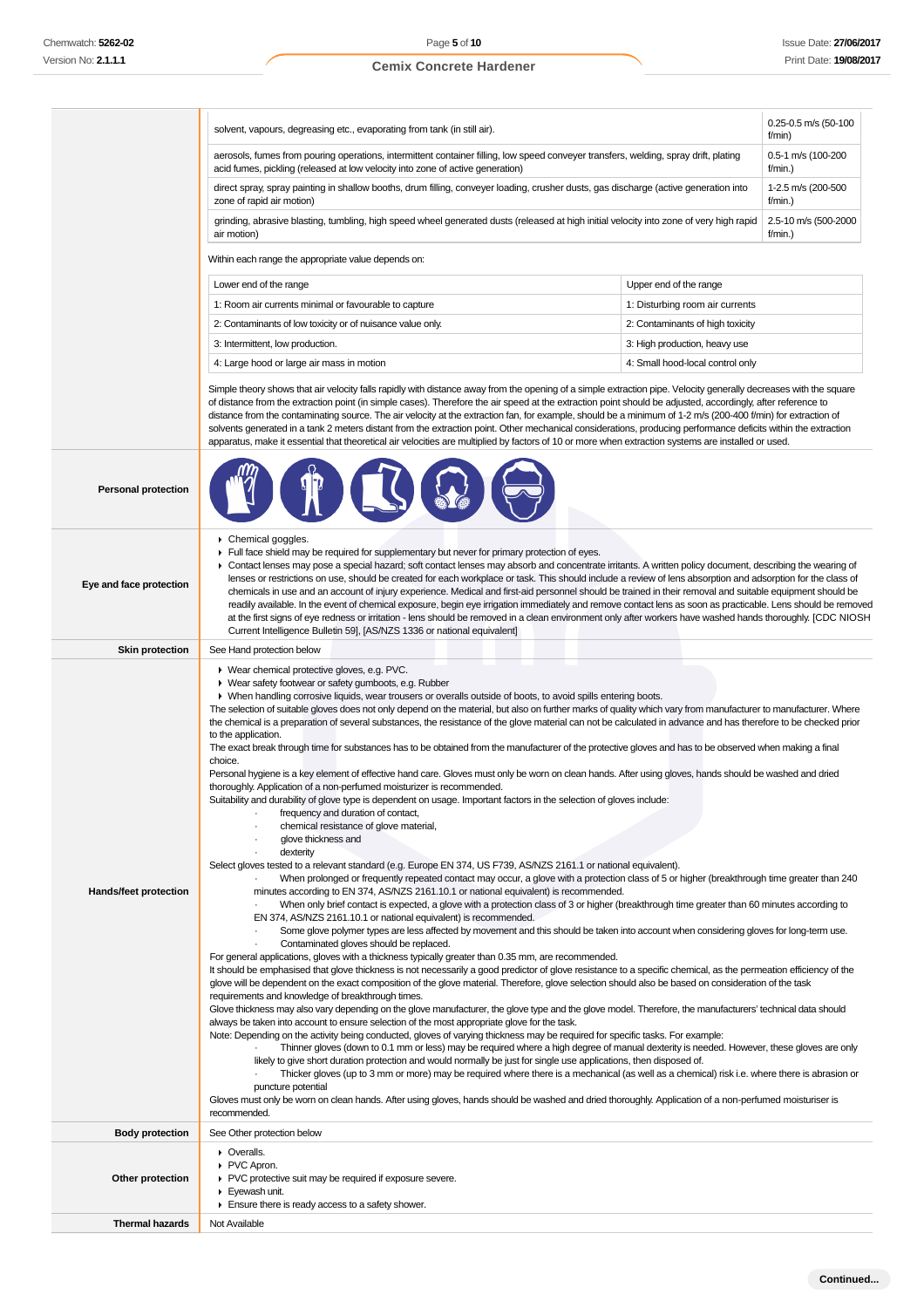|                                                                                                                                                                                                                        | solvent, vapours, degreasing etc., evaporating from tank (in still air).                                                                                                                                                                                                                                                                                                                                                                                                                                                                                                                                                                                                                                                                                                                                                                                                                                                                                                                                                                                                                                                                                                                                                                                                                                                                                                                                                                                                                                                                                                                                                                                                                                                                                                                                                                                                                                                                                                                                                                                                                                                                                                                                                                                                                                                                                                                                                                                                                                                                                                                                                                                                                                                                                                                                                                                                                                                                                                                                                                                                                                                                                                                                                                                                                                                                                                                                                                                                                                     | 0.25-0.5 m/s (50-100<br>f/min)     |
|------------------------------------------------------------------------------------------------------------------------------------------------------------------------------------------------------------------------|--------------------------------------------------------------------------------------------------------------------------------------------------------------------------------------------------------------------------------------------------------------------------------------------------------------------------------------------------------------------------------------------------------------------------------------------------------------------------------------------------------------------------------------------------------------------------------------------------------------------------------------------------------------------------------------------------------------------------------------------------------------------------------------------------------------------------------------------------------------------------------------------------------------------------------------------------------------------------------------------------------------------------------------------------------------------------------------------------------------------------------------------------------------------------------------------------------------------------------------------------------------------------------------------------------------------------------------------------------------------------------------------------------------------------------------------------------------------------------------------------------------------------------------------------------------------------------------------------------------------------------------------------------------------------------------------------------------------------------------------------------------------------------------------------------------------------------------------------------------------------------------------------------------------------------------------------------------------------------------------------------------------------------------------------------------------------------------------------------------------------------------------------------------------------------------------------------------------------------------------------------------------------------------------------------------------------------------------------------------------------------------------------------------------------------------------------------------------------------------------------------------------------------------------------------------------------------------------------------------------------------------------------------------------------------------------------------------------------------------------------------------------------------------------------------------------------------------------------------------------------------------------------------------------------------------------------------------------------------------------------------------------------------------------------------------------------------------------------------------------------------------------------------------------------------------------------------------------------------------------------------------------------------------------------------------------------------------------------------------------------------------------------------------------------------------------------------------------------------------------------------------|------------------------------------|
| aerosols, fumes from pouring operations, intermittent container filling, low speed conveyer transfers, welding, spray drift, plating<br>acid fumes, pickling (released at low velocity into zone of active generation) |                                                                                                                                                                                                                                                                                                                                                                                                                                                                                                                                                                                                                                                                                                                                                                                                                                                                                                                                                                                                                                                                                                                                                                                                                                                                                                                                                                                                                                                                                                                                                                                                                                                                                                                                                                                                                                                                                                                                                                                                                                                                                                                                                                                                                                                                                                                                                                                                                                                                                                                                                                                                                                                                                                                                                                                                                                                                                                                                                                                                                                                                                                                                                                                                                                                                                                                                                                                                                                                                                                              | 0.5-1 m/s (100-200<br>f/min.)      |
|                                                                                                                                                                                                                        | direct spray, spray painting in shallow booths, drum filling, conveyer loading, crusher dusts, gas discharge (active generation into<br>zone of rapid air motion)                                                                                                                                                                                                                                                                                                                                                                                                                                                                                                                                                                                                                                                                                                                                                                                                                                                                                                                                                                                                                                                                                                                                                                                                                                                                                                                                                                                                                                                                                                                                                                                                                                                                                                                                                                                                                                                                                                                                                                                                                                                                                                                                                                                                                                                                                                                                                                                                                                                                                                                                                                                                                                                                                                                                                                                                                                                                                                                                                                                                                                                                                                                                                                                                                                                                                                                                            | 1-2.5 m/s (200-500<br>f/min.)      |
|                                                                                                                                                                                                                        | grinding, abrasive blasting, tumbling, high speed wheel generated dusts (released at high initial velocity into zone of very high rapid<br>air motion)                                                                                                                                                                                                                                                                                                                                                                                                                                                                                                                                                                                                                                                                                                                                                                                                                                                                                                                                                                                                                                                                                                                                                                                                                                                                                                                                                                                                                                                                                                                                                                                                                                                                                                                                                                                                                                                                                                                                                                                                                                                                                                                                                                                                                                                                                                                                                                                                                                                                                                                                                                                                                                                                                                                                                                                                                                                                                                                                                                                                                                                                                                                                                                                                                                                                                                                                                       | 2.5-10 m/s (500-2000<br>$f/min.$ ) |
|                                                                                                                                                                                                                        | Within each range the appropriate value depends on:                                                                                                                                                                                                                                                                                                                                                                                                                                                                                                                                                                                                                                                                                                                                                                                                                                                                                                                                                                                                                                                                                                                                                                                                                                                                                                                                                                                                                                                                                                                                                                                                                                                                                                                                                                                                                                                                                                                                                                                                                                                                                                                                                                                                                                                                                                                                                                                                                                                                                                                                                                                                                                                                                                                                                                                                                                                                                                                                                                                                                                                                                                                                                                                                                                                                                                                                                                                                                                                          |                                    |
|                                                                                                                                                                                                                        | Lower end of the range<br>Upper end of the range                                                                                                                                                                                                                                                                                                                                                                                                                                                                                                                                                                                                                                                                                                                                                                                                                                                                                                                                                                                                                                                                                                                                                                                                                                                                                                                                                                                                                                                                                                                                                                                                                                                                                                                                                                                                                                                                                                                                                                                                                                                                                                                                                                                                                                                                                                                                                                                                                                                                                                                                                                                                                                                                                                                                                                                                                                                                                                                                                                                                                                                                                                                                                                                                                                                                                                                                                                                                                                                             |                                    |
|                                                                                                                                                                                                                        | 1: Room air currents minimal or favourable to capture<br>1: Disturbing room air currents                                                                                                                                                                                                                                                                                                                                                                                                                                                                                                                                                                                                                                                                                                                                                                                                                                                                                                                                                                                                                                                                                                                                                                                                                                                                                                                                                                                                                                                                                                                                                                                                                                                                                                                                                                                                                                                                                                                                                                                                                                                                                                                                                                                                                                                                                                                                                                                                                                                                                                                                                                                                                                                                                                                                                                                                                                                                                                                                                                                                                                                                                                                                                                                                                                                                                                                                                                                                                     |                                    |
|                                                                                                                                                                                                                        | 2: Contaminants of low toxicity or of nuisance value only.<br>2: Contaminants of high toxicity                                                                                                                                                                                                                                                                                                                                                                                                                                                                                                                                                                                                                                                                                                                                                                                                                                                                                                                                                                                                                                                                                                                                                                                                                                                                                                                                                                                                                                                                                                                                                                                                                                                                                                                                                                                                                                                                                                                                                                                                                                                                                                                                                                                                                                                                                                                                                                                                                                                                                                                                                                                                                                                                                                                                                                                                                                                                                                                                                                                                                                                                                                                                                                                                                                                                                                                                                                                                               |                                    |
|                                                                                                                                                                                                                        | 3: Intermittent, low production.<br>3: High production, heavy use                                                                                                                                                                                                                                                                                                                                                                                                                                                                                                                                                                                                                                                                                                                                                                                                                                                                                                                                                                                                                                                                                                                                                                                                                                                                                                                                                                                                                                                                                                                                                                                                                                                                                                                                                                                                                                                                                                                                                                                                                                                                                                                                                                                                                                                                                                                                                                                                                                                                                                                                                                                                                                                                                                                                                                                                                                                                                                                                                                                                                                                                                                                                                                                                                                                                                                                                                                                                                                            |                                    |
|                                                                                                                                                                                                                        | 4: Small hood-local control only<br>4: Large hood or large air mass in motion                                                                                                                                                                                                                                                                                                                                                                                                                                                                                                                                                                                                                                                                                                                                                                                                                                                                                                                                                                                                                                                                                                                                                                                                                                                                                                                                                                                                                                                                                                                                                                                                                                                                                                                                                                                                                                                                                                                                                                                                                                                                                                                                                                                                                                                                                                                                                                                                                                                                                                                                                                                                                                                                                                                                                                                                                                                                                                                                                                                                                                                                                                                                                                                                                                                                                                                                                                                                                                |                                    |
|                                                                                                                                                                                                                        | Simple theory shows that air velocity falls rapidly with distance away from the opening of a simple extraction pipe. Velocity generally decreases with the square<br>of distance from the extraction point (in simple cases). Therefore the air speed at the extraction point should be adjusted, accordingly, after reference to<br>distance from the contaminating source. The air velocity at the extraction fan, for example, should be a minimum of 1-2 m/s (200-400 f/min) for extraction of<br>solvents generated in a tank 2 meters distant from the extraction point. Other mechanical considerations, producing performance deficits within the extraction<br>apparatus, make it essential that theoretical air velocities are multiplied by factors of 10 or more when extraction systems are installed or used.                                                                                                                                                                                                                                                                                                                                                                                                                                                                                                                                                                                                                                                                                                                                                                                                                                                                                                                                                                                                                                                                                                                                                                                                                                                                                                                                                                                                                                                                                                                                                                                                                                                                                                                                                                                                                                                                                                                                                                                                                                                                                                                                                                                                                                                                                                                                                                                                                                                                                                                                                                                                                                                                                  |                                    |
| <b>Personal protection</b>                                                                                                                                                                                             |                                                                                                                                                                                                                                                                                                                                                                                                                                                                                                                                                                                                                                                                                                                                                                                                                                                                                                                                                                                                                                                                                                                                                                                                                                                                                                                                                                                                                                                                                                                                                                                                                                                                                                                                                                                                                                                                                                                                                                                                                                                                                                                                                                                                                                                                                                                                                                                                                                                                                                                                                                                                                                                                                                                                                                                                                                                                                                                                                                                                                                                                                                                                                                                                                                                                                                                                                                                                                                                                                                              |                                    |
| Eye and face protection                                                                                                                                                                                                | Chemical goggles.<br>Full face shield may be required for supplementary but never for primary protection of eyes.<br>> Contact lenses may pose a special hazard; soft contact lenses may absorb and concentrate irritants. A written policy document, describing the wearing of<br>lenses or restrictions on use, should be created for each workplace or task. This should include a review of lens absorption and adsorption for the class of<br>chemicals in use and an account of injury experience. Medical and first-aid personnel should be trained in their removal and suitable equipment should be<br>readily available. In the event of chemical exposure, begin eye irrigation immediately and remove contact lens as soon as practicable. Lens should be removed<br>at the first signs of eye redness or irritation - lens should be removed in a clean environment only after workers have washed hands thoroughly. [CDC NIOSH<br>Current Intelligence Bulletin 59], [AS/NZS 1336 or national equivalent]                                                                                                                                                                                                                                                                                                                                                                                                                                                                                                                                                                                                                                                                                                                                                                                                                                                                                                                                                                                                                                                                                                                                                                                                                                                                                                                                                                                                                                                                                                                                                                                                                                                                                                                                                                                                                                                                                                                                                                                                                                                                                                                                                                                                                                                                                                                                                                                                                                                                                      |                                    |
| <b>Skin protection</b>                                                                                                                                                                                                 | See Hand protection below                                                                                                                                                                                                                                                                                                                                                                                                                                                                                                                                                                                                                                                                                                                                                                                                                                                                                                                                                                                                                                                                                                                                                                                                                                                                                                                                                                                                                                                                                                                                                                                                                                                                                                                                                                                                                                                                                                                                                                                                                                                                                                                                                                                                                                                                                                                                                                                                                                                                                                                                                                                                                                                                                                                                                                                                                                                                                                                                                                                                                                                                                                                                                                                                                                                                                                                                                                                                                                                                                    |                                    |
| Hands/feet protection                                                                                                                                                                                                  | ▶ Wear chemical protective gloves, e.g. PVC.<br>• Wear safety footwear or safety gumboots, e.g. Rubber<br>• When handling corrosive liquids, wear trousers or overalls outside of boots, to avoid spills entering boots.<br>The selection of suitable gloves does not only depend on the material, but also on further marks of quality which vary from manufacturer to manufacturer. Where<br>the chemical is a preparation of several substances, the resistance of the glove material can not be calculated in advance and has therefore to be checked prior<br>to the application.<br>The exact break through time for substances has to be obtained from the manufacturer of the protective gloves and has to be observed when making a final<br>choice.<br>Personal hygiene is a key element of effective hand care. Gloves must only be worn on clean hands. After using gloves, hands should be washed and dried<br>thoroughly. Application of a non-perfumed moisturizer is recommended.<br>Suitability and durability of glove type is dependent on usage. Important factors in the selection of gloves include:<br>frequency and duration of contact,<br>chemical resistance of glove material,<br>glove thickness and<br>dexterity<br>Select gloves tested to a relevant standard (e.g. Europe EN 374, US F739, AS/NZS 2161.1 or national equivalent).<br>When prolonged or frequently repeated contact may occur, a glove with a protection class of 5 or higher (breakthrough time greater than 240<br>minutes according to EN 374, AS/NZS 2161.10.1 or national equivalent) is recommended.<br>When only brief contact is expected, a glove with a protection class of 3 or higher (breakthrough time greater than 60 minutes according to<br>EN 374, AS/NZS 2161.10.1 or national equivalent) is recommended.<br>Some glove polymer types are less affected by movement and this should be taken into account when considering gloves for long-term use.<br>Contaminated gloves should be replaced.<br>For general applications, gloves with a thickness typically greater than 0.35 mm, are recommended.<br>It should be emphasised that glove thickness is not necessarily a good predictor of glove resistance to a specific chemical, as the permeation efficiency of the<br>glove will be dependent on the exact composition of the glove material. Therefore, glove selection should also be based on consideration of the task<br>requirements and knowledge of breakthrough times.<br>Glove thickness may also vary depending on the glove manufacturer, the glove type and the glove model. Therefore, the manufacturers' technical data should<br>always be taken into account to ensure selection of the most appropriate glove for the task.<br>Note: Depending on the activity being conducted, gloves of varying thickness may be required for specific tasks. For example:<br>Thinner gloves (down to 0.1 mm or less) may be required where a high degree of manual dexterity is needed. However, these gloves are only<br>likely to give short duration protection and would normally be just for single use applications, then disposed of.<br>Thicker gloves (up to 3 mm or more) may be required where there is a mechanical (as well as a chemical) risk i.e. where there is abrasion or<br>puncture potential<br>Gloves must only be worn on clean hands. After using gloves, hands should be washed and dried thoroughly. Application of a non-perfumed moisturiser is |                                    |
|                                                                                                                                                                                                                        | recommended.                                                                                                                                                                                                                                                                                                                                                                                                                                                                                                                                                                                                                                                                                                                                                                                                                                                                                                                                                                                                                                                                                                                                                                                                                                                                                                                                                                                                                                                                                                                                                                                                                                                                                                                                                                                                                                                                                                                                                                                                                                                                                                                                                                                                                                                                                                                                                                                                                                                                                                                                                                                                                                                                                                                                                                                                                                                                                                                                                                                                                                                                                                                                                                                                                                                                                                                                                                                                                                                                                                 |                                    |
| <b>Body protection</b>                                                                                                                                                                                                 | See Other protection below                                                                                                                                                                                                                                                                                                                                                                                                                                                                                                                                                                                                                                                                                                                                                                                                                                                                                                                                                                                                                                                                                                                                                                                                                                                                                                                                                                                                                                                                                                                                                                                                                                                                                                                                                                                                                                                                                                                                                                                                                                                                                                                                                                                                                                                                                                                                                                                                                                                                                                                                                                                                                                                                                                                                                                                                                                                                                                                                                                                                                                                                                                                                                                                                                                                                                                                                                                                                                                                                                   |                                    |
| Other protection                                                                                                                                                                                                       | • Overalls.<br>▶ PVC Apron.<br>▶ PVC protective suit may be required if exposure severe.<br>Eyewash unit.<br>Ensure there is ready access to a safety shower.                                                                                                                                                                                                                                                                                                                                                                                                                                                                                                                                                                                                                                                                                                                                                                                                                                                                                                                                                                                                                                                                                                                                                                                                                                                                                                                                                                                                                                                                                                                                                                                                                                                                                                                                                                                                                                                                                                                                                                                                                                                                                                                                                                                                                                                                                                                                                                                                                                                                                                                                                                                                                                                                                                                                                                                                                                                                                                                                                                                                                                                                                                                                                                                                                                                                                                                                                |                                    |
| <b>Thermal hazards</b>                                                                                                                                                                                                 | Not Available                                                                                                                                                                                                                                                                                                                                                                                                                                                                                                                                                                                                                                                                                                                                                                                                                                                                                                                                                                                                                                                                                                                                                                                                                                                                                                                                                                                                                                                                                                                                                                                                                                                                                                                                                                                                                                                                                                                                                                                                                                                                                                                                                                                                                                                                                                                                                                                                                                                                                                                                                                                                                                                                                                                                                                                                                                                                                                                                                                                                                                                                                                                                                                                                                                                                                                                                                                                                                                                                                                |                                    |

Î.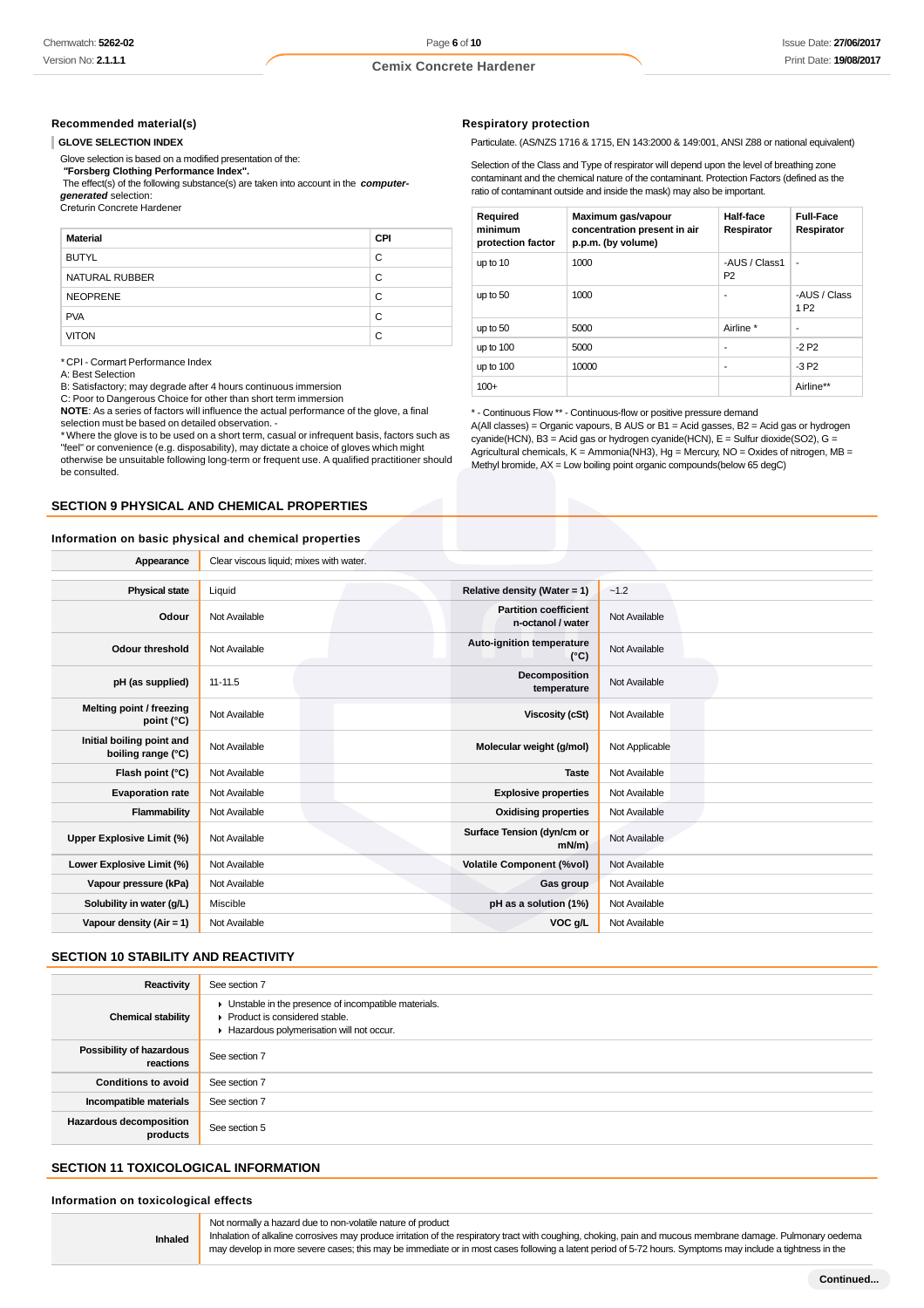### **Recommended material(s)**

### **GLOVE SELECTION INDEX**

Glove selection is based on a modified presentation of the:

 **"Forsberg Clothing Performance Index".**

 The effect(s) of the following substance(s) are taken into account in the **computergenerated** selection:<br>Creturin Concrete Hardener

| <b>Material</b> | <b>CPI</b> |
|-----------------|------------|
| <b>BUTYL</b>    | C          |
| NATURAL RUBBER  | C          |
| <b>NEOPRENE</b> | C          |
| <b>PVA</b>      | C          |
| <b>VITON</b>    | C          |

\* CPI - Cormart Performance Index

A: Best Selection

B: Satisfactory; may degrade after 4 hours continuous immersion

C: Poor to Dangerous Choice for other than short term immersion

**NOTE**: As a series of factors will influence the actual performance of the glove, a final selection must be based on detailed observation. -

\* Where the glove is to be used on a short term, casual or infrequent basis, factors such as "feel" or convenience (e.g. disposability), may dictate a choice of gloves which might otherwise be unsuitable following long-term or frequent use. A qualified practitioner should be consulted.

### **SECTION 9 PHYSICAL AND CHEMICAL PROPERTIES**

### **Information on basic physical and chemical properties**

#### **Respiratory protection**

Particulate. (AS/NZS 1716 & 1715, EN 143:2000 & 149:001, ANSI Z88 or national equivalent)

Selection of the Class and Type of respirator will depend upon the level of breathing zone contaminant and the chemical nature of the contaminant. Protection Factors (defined as the ratio of contaminant outside and inside the mask) may also be important.

| Required<br>minimum<br>protection factor | Maximum gas/vapour<br>concentration present in air<br>p.p.m. (by volume) | Half-face<br>Respirator         | <b>Full-Face</b><br>Respirator   |
|------------------------------------------|--------------------------------------------------------------------------|---------------------------------|----------------------------------|
| up to 10                                 | 1000                                                                     | -AUS / Class1<br>P <sub>2</sub> | ٠                                |
| up to 50                                 | 1000                                                                     | ٠                               | -AUS / Class<br>1 P <sub>2</sub> |
| up to 50                                 | 5000                                                                     | Airline *                       | ۰                                |
| up to 100                                | 5000                                                                     | ٠                               | $-2P2$                           |
| up to 100                                | 10000                                                                    | $\overline{\phantom{a}}$        | $-3P2$                           |
| $100+$                                   |                                                                          |                                 | Airline**                        |

\* - Continuous Flow \*\* - Continuous-flow or positive pressure demand

A(All classes) = Organic vapours, B AUS or B1 = Acid gasses, B2 = Acid gas or hydrogen cyanide(HCN), B3 = Acid gas or hydrogen cyanide(HCN), E = Sulfur dioxide(SO2), G = Agricultural chemicals, K = Ammonia(NH3), Hg = Mercury, NO = Oxides of nitrogen, MB = Methyl bromide,  $AX =$  Low boiling point organic compounds(below 65 degC)

| Appearance                                      | Clear viscous liquid; mixes with water. |                                                   |                |
|-------------------------------------------------|-----------------------------------------|---------------------------------------------------|----------------|
|                                                 |                                         |                                                   |                |
| <b>Physical state</b>                           | Liquid                                  | Relative density (Water = $1$ )                   | $-1.2$         |
| Odour                                           | Not Available                           | <b>Partition coefficient</b><br>n-octanol / water | Not Available  |
| <b>Odour threshold</b>                          | Not Available                           | Auto-ignition temperature<br>$(^{\circ}C)$        | Not Available  |
| pH (as supplied)                                | $11 - 11.5$                             | Decomposition<br>temperature                      | Not Available  |
| Melting point / freezing<br>point (°C)          | Not Available                           | <b>Viscosity (cSt)</b>                            | Not Available  |
| Initial boiling point and<br>boiling range (°C) | Not Available                           | Molecular weight (g/mol)                          | Not Applicable |
| Flash point (°C)                                | Not Available                           | <b>Taste</b>                                      | Not Available  |
| <b>Evaporation rate</b>                         | Not Available                           | <b>Explosive properties</b>                       | Not Available  |
| Flammability                                    | Not Available                           | <b>Oxidising properties</b>                       | Not Available  |
| <b>Upper Explosive Limit (%)</b>                | Not Available                           | Surface Tension (dyn/cm or<br>$mN/m$ )            | Not Available  |
| Lower Explosive Limit (%)                       | Not Available                           | <b>Volatile Component (%vol)</b>                  | Not Available  |
| Vapour pressure (kPa)                           | Not Available                           | Gas group                                         | Not Available  |
| Solubility in water (g/L)                       | Miscible                                | pH as a solution (1%)                             | Not Available  |
| Vapour density (Air = $1$ )                     | Not Available                           | VOC g/L                                           | Not Available  |
|                                                 |                                         |                                                   |                |

### **SECTION 10 STABILITY AND REACTIVITY**

| Reactivity                                 | See section 7                                                                                                                        |
|--------------------------------------------|--------------------------------------------------------------------------------------------------------------------------------------|
| <b>Chemical stability</b>                  | • Unstable in the presence of incompatible materials.<br>▶ Product is considered stable.<br>Hazardous polymerisation will not occur. |
| Possibility of hazardous<br>reactions      | See section 7                                                                                                                        |
| <b>Conditions to avoid</b>                 | See section 7                                                                                                                        |
| Incompatible materials                     | See section 7                                                                                                                        |
| <b>Hazardous decomposition</b><br>products | See section 5                                                                                                                        |

# **SECTION 11 TOXICOLOGICAL INFORMATION**

**Information on toxicological effects**

**Inhaled**

Not normally a hazard due to non-volatile nature of product

Inhalation of alkaline corrosives may produce irritation of the respiratory tract with coughing, choking, pain and mucous membrane damage. Pulmonary oedema may develop in more severe cases; this may be immediate or in most cases following a latent period of 5-72 hours. Symptoms may include a tightness in the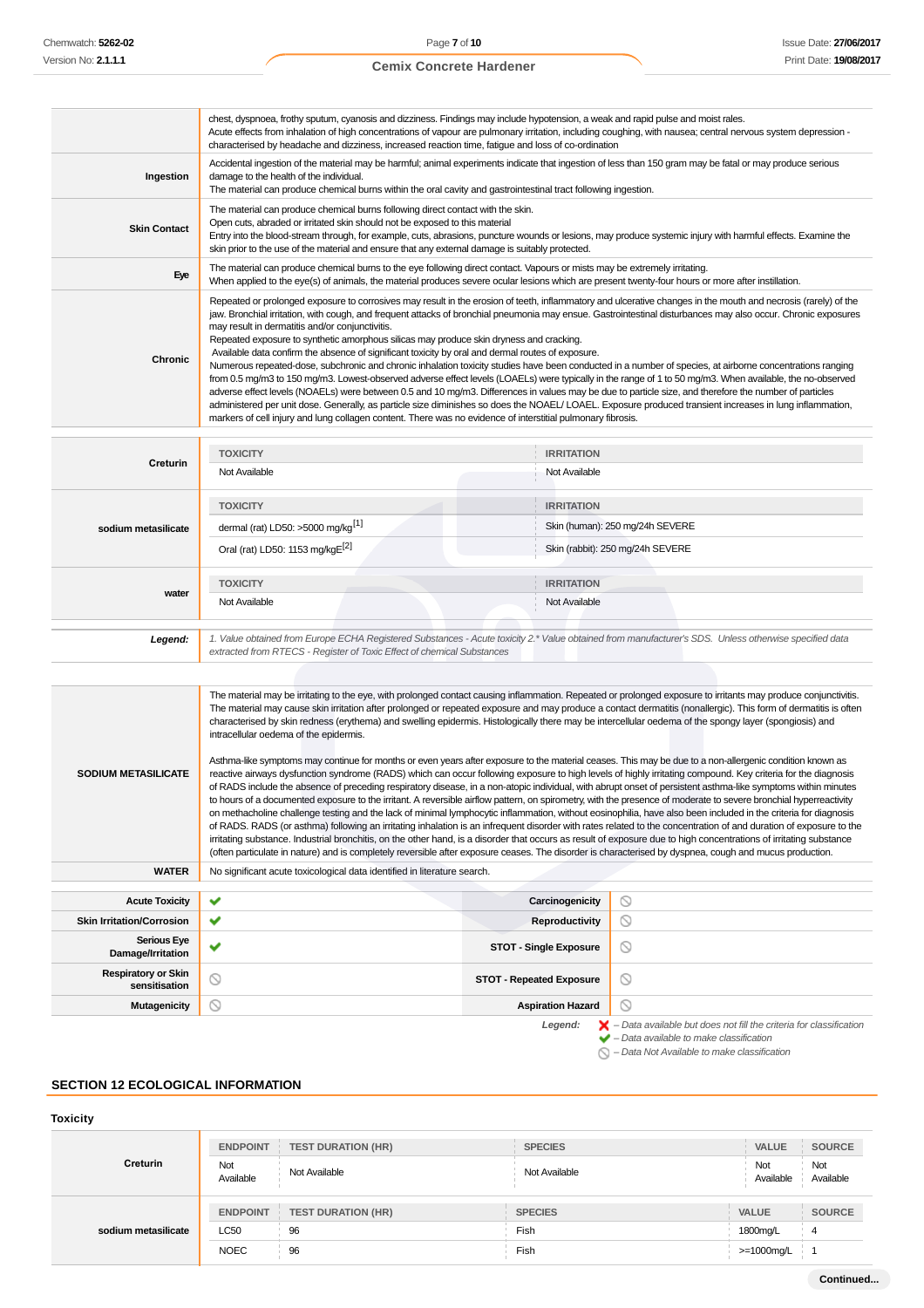|                     | chest, dyspnoea, frothy sputum, cyanosis and dizziness. Findings may include hypotension, a weak and rapid pulse and moist rales.<br>Acute effects from inhalation of high concentrations of vapour are pulmonary irritation, including coughing, with nausea; central nervous system depression -<br>characterised by headache and dizziness, increased reaction time, fatigue and loss of co-ordination                                                                                                                                                                                                                                                                                                                                                                                                                                                                                                                                                                                                                                                                                                                                                                                                                                                                                                                                        |
|---------------------|--------------------------------------------------------------------------------------------------------------------------------------------------------------------------------------------------------------------------------------------------------------------------------------------------------------------------------------------------------------------------------------------------------------------------------------------------------------------------------------------------------------------------------------------------------------------------------------------------------------------------------------------------------------------------------------------------------------------------------------------------------------------------------------------------------------------------------------------------------------------------------------------------------------------------------------------------------------------------------------------------------------------------------------------------------------------------------------------------------------------------------------------------------------------------------------------------------------------------------------------------------------------------------------------------------------------------------------------------|
| Ingestion           | Accidental ingestion of the material may be harmful; animal experiments indicate that ingestion of less than 150 gram may be fatal or may produce serious<br>damage to the health of the individual.<br>The material can produce chemical burns within the oral cavity and gastrointestinal tract following ingestion.                                                                                                                                                                                                                                                                                                                                                                                                                                                                                                                                                                                                                                                                                                                                                                                                                                                                                                                                                                                                                           |
| <b>Skin Contact</b> | The material can produce chemical burns following direct contact with the skin.<br>Open cuts, abraded or irritated skin should not be exposed to this material<br>Entry into the blood-stream through, for example, cuts, abrasions, puncture wounds or lesions, may produce systemic injury with harmful effects. Examine the<br>skin prior to the use of the material and ensure that any external damage is suitably protected.                                                                                                                                                                                                                                                                                                                                                                                                                                                                                                                                                                                                                                                                                                                                                                                                                                                                                                               |
| Eye                 | The material can produce chemical burns to the eye following direct contact. Vapours or mists may be extremely irritating.<br>When applied to the eye(s) of animals, the material produces severe ocular lesions which are present twenty-four hours or more after instillation.                                                                                                                                                                                                                                                                                                                                                                                                                                                                                                                                                                                                                                                                                                                                                                                                                                                                                                                                                                                                                                                                 |
| Chronic             | Repeated or prolonged exposure to corrosives may result in the erosion of teeth, inflammatory and ulcerative changes in the mouth and necrosis (rarely) of the<br>jaw. Bronchial irritation, with cough, and frequent attacks of bronchial pneumonia may ensue. Gastrointestinal disturbances may also occur. Chronic exposures<br>may result in dermatitis and/or conjunctivitis.<br>Repeated exposure to synthetic amorphous silicas may produce skin dryness and cracking.<br>Available data confirm the absence of significant toxicity by oral and dermal routes of exposure.<br>Numerous repeated-dose, subchronic and chronic inhalation toxicity studies have been conducted in a number of species, at airborne concentrations ranging<br>from 0.5 mg/m3 to 150 mg/m3. Lowest-observed adverse effect levels (LOAELs) were typically in the range of 1 to 50 mg/m3. When available, the no-observed<br>adverse effect levels (NOAELs) were between 0.5 and 10 mg/m3. Differences in values may be due to particle size, and therefore the number of particles<br>administered per unit dose. Generally, as particle size diminishes so does the NOAEL/LOAEL. Exposure produced transient increases in lung inflammation,<br>markers of cell injury and lung collagen content. There was no evidence of interstitial pulmonary fibrosis. |

|                                                                                                                                                                                                                                                                                                                                                                                                                                                                                                                                                                                                                                                                                                                                                                                                                                                                                                                                                                                                                                                                                                                                                                                                                                                                                                                                                                                                                                                                                                                                                                                                                                                                                                                                                                                                                                                                                                                  | <b>TOXICITY</b>                                                                                                                                                                                                                 | <b>IRRITATION</b>               |                                                                                                                                                           |
|------------------------------------------------------------------------------------------------------------------------------------------------------------------------------------------------------------------------------------------------------------------------------------------------------------------------------------------------------------------------------------------------------------------------------------------------------------------------------------------------------------------------------------------------------------------------------------------------------------------------------------------------------------------------------------------------------------------------------------------------------------------------------------------------------------------------------------------------------------------------------------------------------------------------------------------------------------------------------------------------------------------------------------------------------------------------------------------------------------------------------------------------------------------------------------------------------------------------------------------------------------------------------------------------------------------------------------------------------------------------------------------------------------------------------------------------------------------------------------------------------------------------------------------------------------------------------------------------------------------------------------------------------------------------------------------------------------------------------------------------------------------------------------------------------------------------------------------------------------------------------------------------------------------|---------------------------------------------------------------------------------------------------------------------------------------------------------------------------------------------------------------------------------|---------------------------------|-----------------------------------------------------------------------------------------------------------------------------------------------------------|
| Creturin                                                                                                                                                                                                                                                                                                                                                                                                                                                                                                                                                                                                                                                                                                                                                                                                                                                                                                                                                                                                                                                                                                                                                                                                                                                                                                                                                                                                                                                                                                                                                                                                                                                                                                                                                                                                                                                                                                         | Not Available                                                                                                                                                                                                                   | Not Available                   |                                                                                                                                                           |
|                                                                                                                                                                                                                                                                                                                                                                                                                                                                                                                                                                                                                                                                                                                                                                                                                                                                                                                                                                                                                                                                                                                                                                                                                                                                                                                                                                                                                                                                                                                                                                                                                                                                                                                                                                                                                                                                                                                  | <b>TOXICITY</b>                                                                                                                                                                                                                 | <b>IRRITATION</b>               |                                                                                                                                                           |
| sodium metasilicate                                                                                                                                                                                                                                                                                                                                                                                                                                                                                                                                                                                                                                                                                                                                                                                                                                                                                                                                                                                                                                                                                                                                                                                                                                                                                                                                                                                                                                                                                                                                                                                                                                                                                                                                                                                                                                                                                              | dermal (rat) LD50: >5000 mg/kg <sup>[1]</sup>                                                                                                                                                                                   |                                 | Skin (human): 250 mg/24h SEVERE                                                                                                                           |
|                                                                                                                                                                                                                                                                                                                                                                                                                                                                                                                                                                                                                                                                                                                                                                                                                                                                                                                                                                                                                                                                                                                                                                                                                                                                                                                                                                                                                                                                                                                                                                                                                                                                                                                                                                                                                                                                                                                  | Oral (rat) LD50: 1153 mg/kgE <sup>[2]</sup>                                                                                                                                                                                     |                                 | Skin (rabbit): 250 mg/24h SEVERE                                                                                                                          |
| water                                                                                                                                                                                                                                                                                                                                                                                                                                                                                                                                                                                                                                                                                                                                                                                                                                                                                                                                                                                                                                                                                                                                                                                                                                                                                                                                                                                                                                                                                                                                                                                                                                                                                                                                                                                                                                                                                                            | <b>TOXICITY</b>                                                                                                                                                                                                                 | <b>IRRITATION</b>               |                                                                                                                                                           |
|                                                                                                                                                                                                                                                                                                                                                                                                                                                                                                                                                                                                                                                                                                                                                                                                                                                                                                                                                                                                                                                                                                                                                                                                                                                                                                                                                                                                                                                                                                                                                                                                                                                                                                                                                                                                                                                                                                                  | Not Available                                                                                                                                                                                                                   | Not Available                   |                                                                                                                                                           |
|                                                                                                                                                                                                                                                                                                                                                                                                                                                                                                                                                                                                                                                                                                                                                                                                                                                                                                                                                                                                                                                                                                                                                                                                                                                                                                                                                                                                                                                                                                                                                                                                                                                                                                                                                                                                                                                                                                                  |                                                                                                                                                                                                                                 |                                 |                                                                                                                                                           |
| Legend:                                                                                                                                                                                                                                                                                                                                                                                                                                                                                                                                                                                                                                                                                                                                                                                                                                                                                                                                                                                                                                                                                                                                                                                                                                                                                                                                                                                                                                                                                                                                                                                                                                                                                                                                                                                                                                                                                                          | 1. Value obtained from Europe ECHA Registered Substances - Acute toxicity 2.* Value obtained from manufacturer's SDS. Unless otherwise specified data<br>extracted from RTECS - Register of Toxic Effect of chemical Substances |                                 |                                                                                                                                                           |
|                                                                                                                                                                                                                                                                                                                                                                                                                                                                                                                                                                                                                                                                                                                                                                                                                                                                                                                                                                                                                                                                                                                                                                                                                                                                                                                                                                                                                                                                                                                                                                                                                                                                                                                                                                                                                                                                                                                  |                                                                                                                                                                                                                                 |                                 |                                                                                                                                                           |
| The material may be irritating to the eye, with prolonged contact causing inflammation. Repeated or prolonged exposure to irritants may produce conjunctivitis.<br>The material may cause skin irritation after prolonged or repeated exposure and may produce a contact dermatitis (nonallergic). This form of dermatitis is often<br>characterised by skin redness (erythema) and swelling epidermis. Histologically there may be intercellular oedema of the spongy layer (spongiosis) and<br>intracellular oedema of the epidermis.<br>Asthma-like symptoms may continue for months or even years after exposure to the material ceases. This may be due to a non-allergenic condition known as<br><b>SODIUM METASILICATE</b><br>reactive airways dysfunction syndrome (RADS) which can occur following exposure to high levels of highly irritating compound. Key criteria for the diagnosis<br>of RADS include the absence of preceding respiratory disease, in a non-atopic individual, with abrupt onset of persistent asthma-like symptoms within minutes<br>to hours of a documented exposure to the irritant. A reversible airflow pattern, on spirometry, with the presence of moderate to severe bronchial hyperreactivity<br>on methacholine challenge testing and the lack of minimal lymphocytic inflammation, without eosinophilia, have also been included in the criteria for diagnosis<br>of RADS. RADS (or asthma) following an irritating inhalation is an infrequent disorder with rates related to the concentration of and duration of exposure to the<br>irritating substance. Industrial bronchitis, on the other hand, is a disorder that occurs as result of exposure due to high concentrations of irritating substance<br>(often particulate in nature) and is completely reversible after exposure ceases. The disorder is characterised by dyspnea, cough and mucus production. |                                                                                                                                                                                                                                 |                                 |                                                                                                                                                           |
| <b>WATER</b>                                                                                                                                                                                                                                                                                                                                                                                                                                                                                                                                                                                                                                                                                                                                                                                                                                                                                                                                                                                                                                                                                                                                                                                                                                                                                                                                                                                                                                                                                                                                                                                                                                                                                                                                                                                                                                                                                                     | No significant acute toxicological data identified in literature search.                                                                                                                                                        |                                 |                                                                                                                                                           |
| <b>Acute Toxicity</b>                                                                                                                                                                                                                                                                                                                                                                                                                                                                                                                                                                                                                                                                                                                                                                                                                                                                                                                                                                                                                                                                                                                                                                                                                                                                                                                                                                                                                                                                                                                                                                                                                                                                                                                                                                                                                                                                                            | ✔                                                                                                                                                                                                                               | Carcinogenicity                 | $\circledcirc$                                                                                                                                            |
| <b>Skin Irritation/Corrosion</b>                                                                                                                                                                                                                                                                                                                                                                                                                                                                                                                                                                                                                                                                                                                                                                                                                                                                                                                                                                                                                                                                                                                                                                                                                                                                                                                                                                                                                                                                                                                                                                                                                                                                                                                                                                                                                                                                                 | ✔                                                                                                                                                                                                                               | <b>Reproductivity</b>           | ◎                                                                                                                                                         |
| <b>Serious Eye</b><br>Damage/Irritation                                                                                                                                                                                                                                                                                                                                                                                                                                                                                                                                                                                                                                                                                                                                                                                                                                                                                                                                                                                                                                                                                                                                                                                                                                                                                                                                                                                                                                                                                                                                                                                                                                                                                                                                                                                                                                                                          | ✔                                                                                                                                                                                                                               | <b>STOT - Single Exposure</b>   | $\circledcirc$                                                                                                                                            |
| <b>Respiratory or Skin</b><br>sensitisation                                                                                                                                                                                                                                                                                                                                                                                                                                                                                                                                                                                                                                                                                                                                                                                                                                                                                                                                                                                                                                                                                                                                                                                                                                                                                                                                                                                                                                                                                                                                                                                                                                                                                                                                                                                                                                                                      | ⊚                                                                                                                                                                                                                               | <b>STOT - Repeated Exposure</b> | $\circledcirc$                                                                                                                                            |
| <b>Mutagenicity</b>                                                                                                                                                                                                                                                                                                                                                                                                                                                                                                                                                                                                                                                                                                                                                                                                                                                                                                                                                                                                                                                                                                                                                                                                                                                                                                                                                                                                                                                                                                                                                                                                                                                                                                                                                                                                                                                                                              | ⊚                                                                                                                                                                                                                               | <b>Aspiration Hazard</b>        | Q                                                                                                                                                         |
|                                                                                                                                                                                                                                                                                                                                                                                                                                                                                                                                                                                                                                                                                                                                                                                                                                                                                                                                                                                                                                                                                                                                                                                                                                                                                                                                                                                                                                                                                                                                                                                                                                                                                                                                                                                                                                                                                                                  |                                                                                                                                                                                                                                 | Legend:                         | $\blacktriangleright$ - Data available but does not fill the criteria for classification<br>$\blacktriangleright$ - Data available to make classification |

### $\bigcirc$  – Data Not Available to make classification

# **SECTION 12 ECOLOGICAL INFORMATION**

# **Toxicity**

|                     | <b>ENDPOINT</b>  | <b>TEST DURATION (HR)</b> | <b>SPECIES</b> | <b>VALUE</b>     | <b>SOURCE</b>    |
|---------------------|------------------|---------------------------|----------------|------------------|------------------|
| Creturin            | Not<br>Available | Not Available             | Not Available  | Not<br>Available | Not<br>Available |
|                     | <b>ENDPOINT</b>  | <b>TEST DURATION (HR)</b> | <b>SPECIES</b> | <b>VALUE</b>     | <b>SOURCE</b>    |
| sodium metasilicate | <b>LC50</b>      | 96                        | Fish           | 1800mg/L         | 4                |
|                     | <b>NOEC</b>      | 96                        | Fish           | >=1000mg/L       |                  |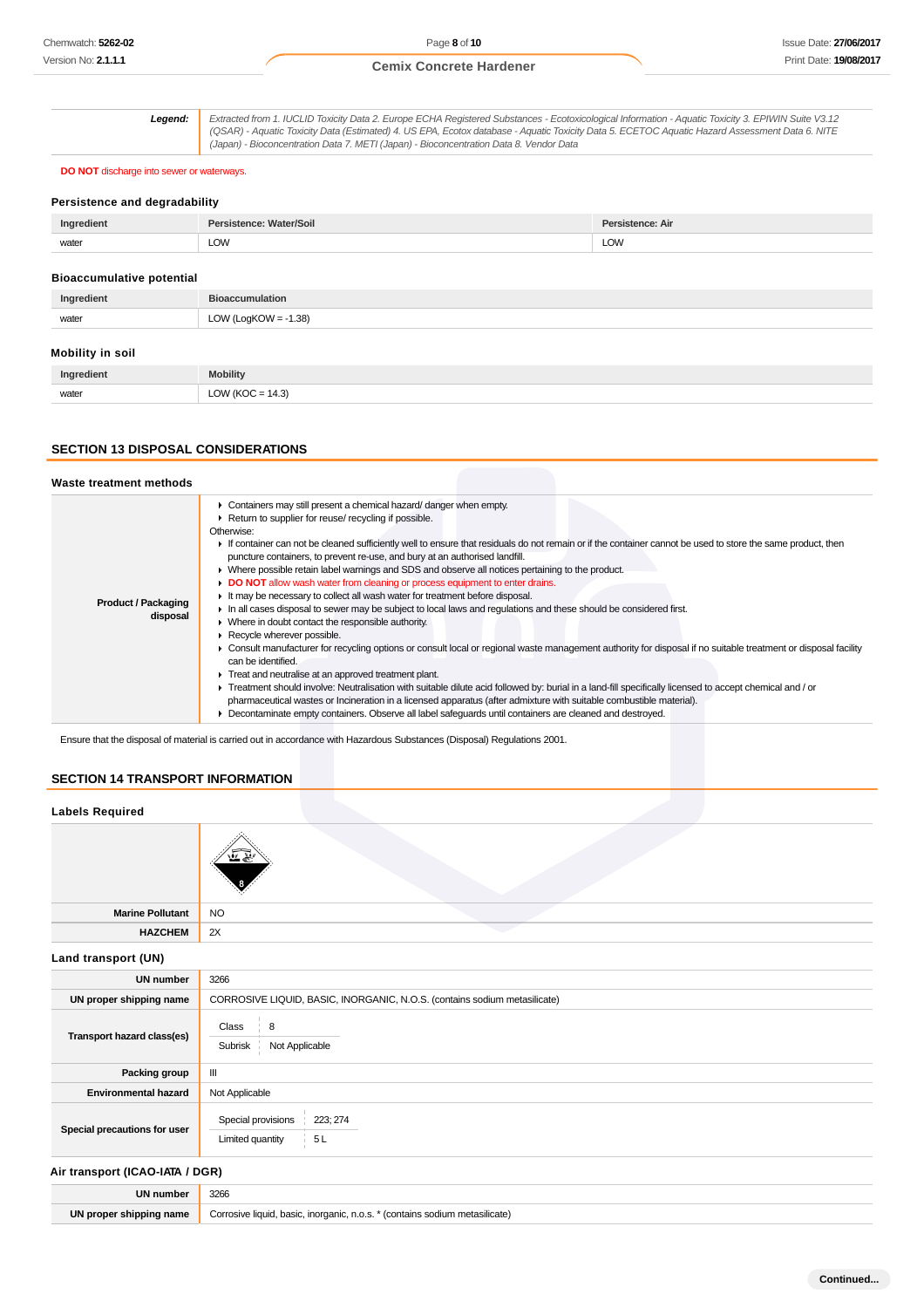**Legend:** Extracted from 1. IUCLID Toxicity Data 2. Europe ECHA Registered Substances - Ecotoxicological Information - Aquatic Toxicity 3. EPIWIN Suite V3.12 (QSAR) - Aquatic Toxicity Data (Estimated) 4. US EPA, Ecotox database - Aquatic Toxicity Data 5. ECETOC Aquatic Hazard Assessment Data 6. NITE (Japan) - Bioconcentration Data 7. METI (Japan) - Bioconcentration Data 8. Vendor Data

### **DO NOT** discharge into sewer or waterways.

### **Persistence and degradability**

| Ingredient                               | /Soil | <b>Persistence: Air</b> |
|------------------------------------------|-------|-------------------------|
| the contract of the contract of<br>water | LOW   | LOW                     |

### **Bioaccumulative potential**

| Ingredient | <b>Bioaccumulation</b>  |
|------------|-------------------------|
| water      | LOW (LogKOW = $-1.38$ ) |
|            |                         |

### **Mobility in soil**

| adion<br>Iner | <b>Mobility</b>                                          |
|---------------|----------------------------------------------------------|
| water         | 14.3'<br>$\bigcap_{\Lambda}$<br>$\overline{\phantom{a}}$ |

### **SECTION 13 DISPOSAL CONSIDERATIONS**

| Waste treatment methods                |                                                                                                                                                                                                                                                                                                                                                                                                                                                                                                                                                                                                                                                                                                                                                                                                                                                                                                                                                                                                                                                                                                                                                                                                                                                                                                                                                                                                                                                                                                                            |
|----------------------------------------|----------------------------------------------------------------------------------------------------------------------------------------------------------------------------------------------------------------------------------------------------------------------------------------------------------------------------------------------------------------------------------------------------------------------------------------------------------------------------------------------------------------------------------------------------------------------------------------------------------------------------------------------------------------------------------------------------------------------------------------------------------------------------------------------------------------------------------------------------------------------------------------------------------------------------------------------------------------------------------------------------------------------------------------------------------------------------------------------------------------------------------------------------------------------------------------------------------------------------------------------------------------------------------------------------------------------------------------------------------------------------------------------------------------------------------------------------------------------------------------------------------------------------|
| <b>Product / Packaging</b><br>disposal | • Containers may still present a chemical hazard/danger when empty.<br>▶ Return to supplier for reuse/ recycling if possible.<br>Otherwise:<br>If container can not be cleaned sufficiently well to ensure that residuals do not remain or if the container cannot be used to store the same product, then<br>puncture containers, to prevent re-use, and bury at an authorised landfill.<br>• Where possible retain label warnings and SDS and observe all notices pertaining to the product.<br>DO NOT allow wash water from cleaning or process equipment to enter drains.<br>It may be necessary to collect all wash water for treatment before disposal.<br>In all cases disposal to sewer may be subject to local laws and requlations and these should be considered first.<br>• Where in doubt contact the responsible authority.<br>Recycle wherever possible.<br>• Consult manufacturer for recycling options or consult local or regional waste management authority for disposal if no suitable treatment or disposal facility<br>can be identified.<br>Treat and neutralise at an approved treatment plant.<br>▶ Treatment should involve: Neutralisation with suitable dilute acid followed by: burial in a land-fill specifically licensed to accept chemical and / or<br>pharmaceutical wastes or Incineration in a licensed apparatus (after admixture with suitable combustible material).<br>• Decontaminate empty containers. Observe all label safequards until containers are cleaned and destroyed. |

Ensure that the disposal of material is carried out in accordance with Hazardous Substances (Disposal) Regulations 2001.

### **SECTION 14 TRANSPORT INFORMATION**

### **Labels Required**

| Marine Pollutant NO              |  |
|----------------------------------|--|
| <b>HAZCHEM</b><br>$\parallel$ 2X |  |

### **Land transport (UN)**

| <b>UN number</b>             | 3266                                                                      |  |
|------------------------------|---------------------------------------------------------------------------|--|
| UN proper shipping name      | CORROSIVE LIQUID, BASIC, INORGANIC, N.O.S. (contains sodium metasilicate) |  |
| Transport hazard class(es)   | Class<br>$\frac{1}{2}$ 8<br>Not Applicable<br>Subrisk                     |  |
| Packing group                | Ш                                                                         |  |
| <b>Environmental hazard</b>  | Not Applicable                                                            |  |
| Special precautions for user | Special provisions<br>223; 274<br>5L<br>Limited quantity                  |  |

### **Air transport (ICAO-IATA / DGR)**

| <b>IIN number</b>   | 3266                                                                       |
|---------------------|----------------------------------------------------------------------------|
| UN<br>shipping name | n.o.s.<br>inorganic.<br>- Contains<br>haeir<br>Corrosive liquid.<br>vasiv. |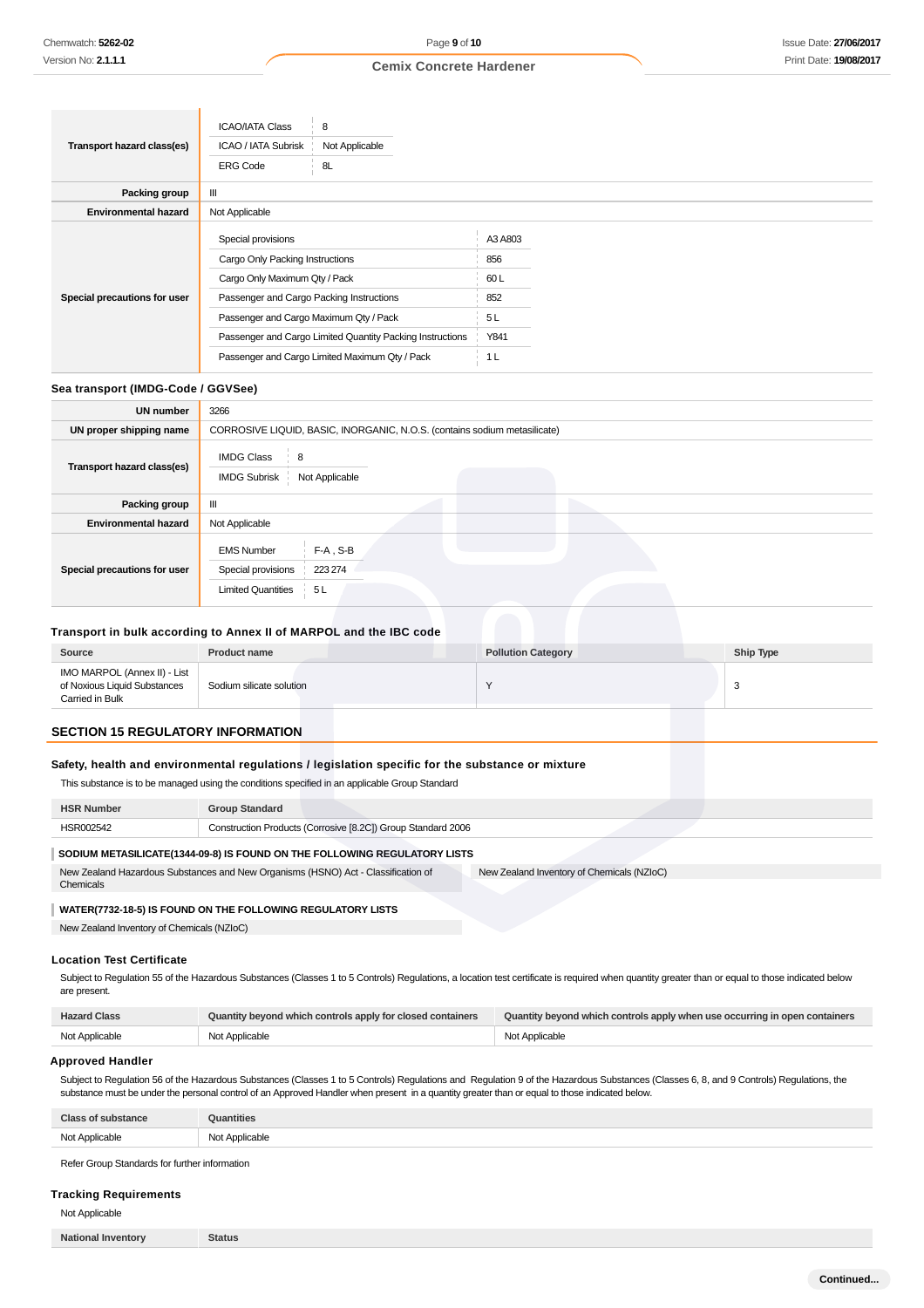|                              | <b>ICAO/IATA Class</b><br>8                               |                |
|------------------------------|-----------------------------------------------------------|----------------|
| Transport hazard class(es)   | Not Applicable<br>ICAO / IATA Subrisk                     |                |
|                              | 8L<br><b>ERG Code</b>                                     |                |
| Packing group                | Ш                                                         |                |
| <b>Environmental hazard</b>  | Not Applicable                                            |                |
| Special precautions for user | Special provisions                                        | A3 A803        |
|                              | Cargo Only Packing Instructions                           | 856            |
|                              | Cargo Only Maximum Qty / Pack                             | 60L            |
|                              | Passenger and Cargo Packing Instructions                  | 852            |
|                              | Passenger and Cargo Maximum Qty / Pack                    | 5L             |
|                              | Passenger and Cargo Limited Quantity Packing Instructions | Y841           |
|                              | Passenger and Cargo Limited Maximum Qty / Pack            | 1 <sub>L</sub> |

# **Sea transport (IMDG-Code / GGVSee)**

| <b>UN number</b>             | 3266                                                                                                 |
|------------------------------|------------------------------------------------------------------------------------------------------|
| UN proper shipping name      | CORROSIVE LIQUID, BASIC, INORGANIC, N.O.S. (contains sodium metasilicate)                            |
| Transport hazard class(es)   | <b>IMDG Class</b><br>8<br><b>IMDG Subrisk</b><br>Not Applicable                                      |
| Packing group                | Ш                                                                                                    |
| <b>Environmental hazard</b>  | Not Applicable                                                                                       |
| Special precautions for user | $F-A$ , S-B<br><b>EMS Number</b><br>Special provisions<br>223 274<br><b>Limited Quantities</b><br>5L |

### **Transport in bulk according to Annex II of MARPOL and the IBC code**

| Source                                                                          | <b>Product name</b>      | <b>Pollution Category</b> | Ship Type |
|---------------------------------------------------------------------------------|--------------------------|---------------------------|-----------|
| IMO MARPOL (Annex II) - List<br>of Noxious Liquid Substances<br>Carried in Bulk | Sodium silicate solution |                           |           |

# **SECTION 15 REGULATORY INFORMATION**

# **Safety, health and environmental regulations / legislation specific for the substance or mixture**

This substance is to be managed using the conditions specified in an applicable Group Standard

| <b>HSR Number</b>                                                                                                               | <b>Group Standard</b>                                        |  |
|---------------------------------------------------------------------------------------------------------------------------------|--------------------------------------------------------------|--|
| HSR002542                                                                                                                       | Construction Products (Corrosive [8.2C]) Group Standard 2006 |  |
| SODIUM METASILICATE(1344-09-8) IS FOUND ON THE FOLLOWING REGULATORY LISTS                                                       |                                                              |  |
| New Zealand Hazardous Substances and New Organisms (HSNO) Act - Classification of<br>New Zealand Inventory of Chemicals (NZIoC) |                                                              |  |
| Chemicals                                                                                                                       |                                                              |  |

### **WATER(7732-18-5) IS FOUND ON THE FOLLOWING REGULATORY LISTS**

New Zealand Inventory of Chemicals (NZIoC)

### **Location Test Certificate**

Subject to Regulation 55 of the Hazardous Substances (Classes 1 to 5 Controls) Regulations, a location test certificate is required when quantity greater than or equal to those indicated below are present.

| <b>Hazard Class</b> | Quantity beyond which controls apply for closed containers | Quantity beyond which controls apply when use occurring in open containers |
|---------------------|------------------------------------------------------------|----------------------------------------------------------------------------|
| Not Applicable      | Not Applicable                                             | Not Applicable                                                             |

# **Approved Handler**

Subject to Regulation 56 of the Hazardous Substances (Classes 1 to 5 Controls) Regulations and Regulation 9 of the Hazardous Substances (Classes 6, 8, and 9 Controls) Regulations, the substance must be under the personal control of an Approved Handler when present in a quantity greater than or equal to those indicated below.

| P                       | <b>Puantities</b>                     |
|-------------------------|---------------------------------------|
| $N - 1$<br>: Applicable | י הוא<br>Applicable<br>w<br>$- - - -$ |

Refer Group Standards for further information

### **Tracking Requirements**

Not Applicable

| <b>National Inventory</b> |
|---------------------------|
|---------------------------|